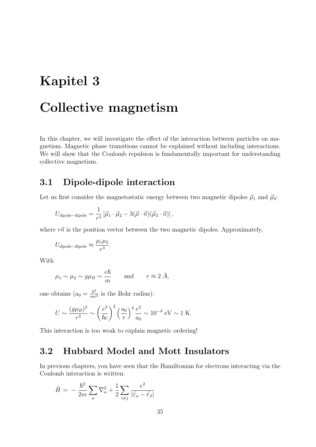# Kapitel 3

# Collective magnetism

In this chapter, we will investigate the effect of the interaction between particles on magnetism. Magnetic phase transitions cannot be explained without including interactions. We will show that the Coulomb repulsion is fundamentally important for understanding collective magnetism.

### 3.1 Dipole-dipole interaction

Let us first consider the magnetostatic energy between two magnetic dipoles  $\vec{\mu}_1$  and  $\vec{\mu}_2$ :

$$
U_{\text{dipole}-\text{dipole}} = \frac{1}{r^3} \left[ \vec{\mu}_1 \cdot \vec{\mu}_2 - 3(\vec{\mu} \cdot \vec{n}) (\vec{\mu}_2 \cdot \vec{n}) \right],
$$

where  $r\vec{n}$  is the position vector between the two magnetic dipoles. Approximately,

$$
U_{\text{dipole}-\text{dipole}} \approx \frac{\mu_1 \mu_2}{r^3}.
$$

With

$$
\mu_1 \sim \mu_2 \sim g\mu_B \sim \frac{e\hbar}{m}
$$
 and  $r \approx 2\AA$ ,

one obtains  $(a_0 = \frac{\hbar^2}{me^2})$  is the Bohr radius):

$$
U \sim \frac{(g\mu_B)^2}{r^3} \sim \left(\frac{e^2}{\hbar c}\right)^2 \left(\frac{a_0}{r}\right)^3 \frac{e^2}{a_0} \sim 10^{-4} \text{ eV} \sim 1 \text{ K}.
$$

This interaction is too weak to explain magnetic ordering!

# 3.2 Hubbard Model and Mott Insulators

In previous chapters, you have seen that the Hamiltonian for electrons interacting via the Coulomb interaction is written:

$$
\hat{H} = -\frac{\hbar^2}{2m} \sum_{\alpha} \nabla_{\alpha}^2 + \frac{1}{2} \sum_{i \neq j} \frac{e^2}{|\vec{r}_{\alpha} - \vec{r}_{\beta}|}
$$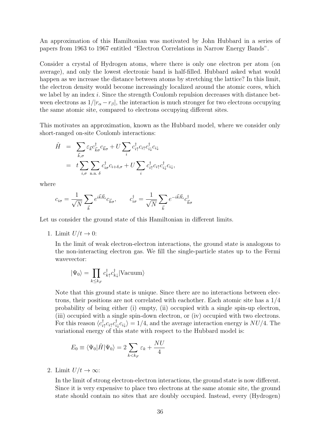An approximation of this Hamiltonian was motivated by John Hubbard in a series of papers from 1963 to 1967 entitled "Electron Correlations in Narrow Energy Bands".

Consider a crystal of Hydrogen atoms, where there is only one electron per atom (on average), and only the lowest electronic band is half-filled. Hubbard asked what would happen as we increase the distance between atoms by stretching the lattice? In this limit, the electron density would become increasingly localized around the atomic cores, which we label by an index *i*. Since the strength Coulomb repulsion decreases with distance between electrons as  $1/|r_{\alpha}-r_{\beta}|$ , the interaction is much stronger for two electrons occupying the same atomic site, compared to electrons occupying different sites.

This motivates an approximation, known as the Hubbard model, where we consider only short-ranged on-site Coulomb interactions:

$$
\hat{H} = \sum_{\vec{k},\sigma} \varepsilon_{\vec{k}} c_{\vec{k}\sigma}^{\dagger} c_{\vec{k}\sigma} + U \sum_{i} c_{i\uparrow}^{\dagger} c_{i\uparrow} c_{i\downarrow}^{\dagger} c_{i\downarrow}
$$
\n
$$
= t \sum_{i,\sigma} \sum_{\text{n.n. } \delta} c_{i\sigma}^{\dagger} c_{i+\delta,\sigma} + U \sum_{i} c_{i\uparrow}^{\dagger} c_{i\uparrow} c_{i\downarrow}^{\dagger} c_{i\downarrow},
$$

where

$$
c_{i\sigma} = \frac{1}{\sqrt{N}} \sum_{\vec{k}} e^{i\vec{k}\vec{R}_i} c_{\vec{k}\sigma}, \qquad c_{i\sigma}^{\dagger} = \frac{1}{\sqrt{N}} \sum_{\vec{k}} e^{-i\vec{k}\vec{R}_i} c_{\vec{k}\sigma}^{\dagger}
$$

Let us consider the ground state of this Hamiltonian in different limits.

1. Limit  $U/t \rightarrow 0$ :

In the limit of weak electron-electron interactions, the ground state is analogous to the non-interacting electron gas. We fill the single-particle states up to the Fermi wavevector:

$$
|\Psi_0\rangle = \prod_{k \le k_F} c_{k\uparrow}^\dagger c_{k\downarrow}^\dagger |\text{Vacuum}\rangle
$$

Note that this ground state is unique. Since there are no interactions between electrons, their positions are not correlated with eachother. Each atomic site has a 1/4 probability of being either (i) empty, (ii) occupied with a single spin-up electron, (iii) occupied with a single spin-down electron, or (iv) occupied with two electrons. For this reason  $\langle c_{i\uparrow}^{\dagger} c_{i\uparrow} c_{i\downarrow}^{\dagger} c_{i\downarrow} \rangle = 1/4$ , and the average interaction energy is  $NU/4$ . The variational energy of this state with respect to the Hubbard model is:

$$
E_0 \equiv \langle \Psi_0 | \hat{H} | \Psi_0 \rangle = 2 \sum_{k < k_F} \varepsilon_k + \frac{NU}{4}
$$

2. Limit  $U/t \to \infty$ :

In the limit of strong electron-electron interactions, the ground state is now different. Since it is very expensive to place two electrons at the same atomic site, the ground state should contain no sites that are doubly occupied. Instead, every (Hydrogen)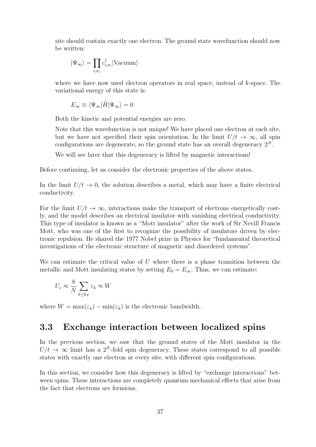site should contain exactly one electron. The ground state wavefunction should now be written:

$$
|\Psi_\infty\rangle = \prod_{i,\sigma_i} c_{i,\sigma_i}^\dagger |\text{Vacuum}\rangle
$$

where we have now used electron operators in real space, instead of *k*-space. The variational energy of this state is:

$$
E_{\infty} \equiv \langle \Psi_{\infty} | \hat{H} | \Psi_{\infty} \rangle = 0
$$

Both the kinetic and potential energies are zero.

Note that this wavefunction is not unique! We have placed one electron at each site, but we have not specified their spin orientation. In the limit  $U/t \to \infty$ , all spin configurations are degenerate, so the ground state has an overall degeneracy  $2^N$ .

We will see later that this degeneracy is lifted by magnetic interactions!

Before continuing, let us consider the electronic properties of the above states.

In the limit  $U/t \to 0$ , the solution describes a metal, which may have a finite electrical conductivity.

For the limit  $U/t \to \infty$ , interactions make the transport of electrons energetically costly, and the model describes an electrical insulator with vanishing electrical conductivity. This type of insulator is known as a "Mott insulator" after the work of Sir Nevill Francis Mott, who was one of the first to recognize the possibility of insulators driven by electronic repulsion. He shared the 1977 Nobel prize in Physics for "fundamental theoretical investigations of the electronic structure of magnetic and disordered systems".

We can estimate the critical value of *U* where there is a phase transition between the metallic and Mott insulating states by setting  $E_0 = E_{\infty}$ . Thus, we can estimate:

$$
U_c \approx \frac{8}{N} \sum_{k \le k_F} \varepsilon_k \approx W
$$

where  $W = \max(\varepsilon_k) - \min(\varepsilon_k)$  is the electronic bandwidth.

### 3.3 Exchange interaction between localized spins

In the previous section, we saw that the ground states of the Mott insulator in the  $U/t \rightarrow \infty$  limit has a 2<sup>*N*</sup>-fold spin degeneracy. These states correspond to all possible states with exactly one electron at every site, with different spin configurations.

In this section, we consider how this degeneracy is lifted by "exchange interactions" between spins. These interactions are completely quantum mechanical effects that arise from the fact that electrons are fermions.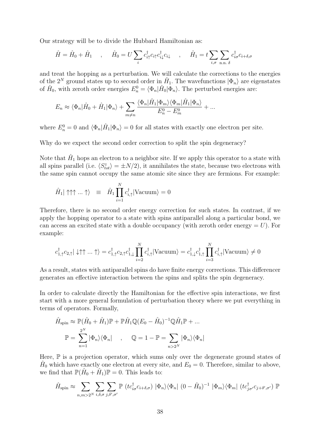Our strategy will be to divide the Hubbard Hamiltonian as:

$$
\hat{H} = \hat{H}_0 + \hat{H}_1 \quad , \quad \hat{H}_0 = U \sum_i c_{i\uparrow}^\dagger c_{i\uparrow} c_{i\downarrow}^\dagger c_{i\downarrow} \quad , \quad \hat{H}_1 = t \sum_{i,\sigma} \sum_{\mathbf{n}.\mathbf{n}} c_{i\sigma}^\dagger c_{i+\delta,\sigma}
$$

and treat the hopping as a perturbation. We will calculate the corrections to the energies of the  $2^N$  ground states up to second order in  $H_1$ . The wavefunctions  $|\Phi_n\rangle$  are eigenstates of  $\hat{H}_0$ , with zeroth order energies  $E_n^0 = \langle \Phi_n | \hat{H}_0 | \Phi_n \rangle$ . The perturbed energies are:

$$
E_n \approx \langle \Phi_n | \hat{H}_0 + \hat{H}_1 | \Phi_n \rangle + \sum_{m \neq n} \frac{\langle \Phi_n | \hat{H}_1 | \Phi_m \rangle \langle \Phi_m | \hat{H}_1 | \Phi_n \rangle}{E_n^0 - E_m^0} + \dots
$$

where  $E_n^0 = 0$  and  $\langle \Phi_n | \hat{H}_1 | \Phi_n \rangle = 0$  for all states with exactly one electron per site.

Why do we expect the second order correction to split the spin degeneracy?

Note that  $H_1$  hops an electron to a neighbor site. If we apply this operator to a state with all spins parallel (i.e.  $\langle S_{tot}^z \rangle = \pm N/2$ ), it annihilates the state, because two electrons with the same spin cannot occupy the same atomic site since they are fermions. For example:

$$
\hat{H}_1 | \uparrow \uparrow \uparrow ... \uparrow \rangle \equiv \hat{H}_1 \prod_{i=1}^N c_{i,\uparrow}^{\dagger} | \text{Vacuum} \rangle = 0
$$

Therefore, there is no second order energy correction for such states. In contrast, if we apply the hopping operator to a state with spins antiparallel along a particular bond, we can access an excited state with a double occupancy (with zeroth order energy  $= U$ ). For example:

$$
c_{1,\uparrow}^{\dagger}c_{2,\uparrow}|\downarrow\uparrow\uparrow\ldots\uparrow\rangle = c_{1,\uparrow}^{\dagger}c_{2,\uparrow}c_{1,\downarrow}^{\dagger}\prod_{i=2}^{N}c_{i,\uparrow}^{\dagger}|\mathrm{Vacuum}\rangle = c_{1,\downarrow}^{\dagger}c_{1,\uparrow}^{\dagger}\prod_{i=3}^{N}c_{i,\uparrow}^{\dagger}|\mathrm{Vacuum}\rangle \neq 0
$$

As a result, states with antiparallel spins do have finite energy corrections. This differencer generates an effective interaction between the spins and splits the spin degeneracy.

In order to calculate directly the Hamiltonian for the effective spin interactions, we first start with a more general formulation of perturbation theory where we put everything in terms of operators. Formally,

$$
\hat{H}_{\text{spin}} \approx \mathbb{P}(\hat{H}_0 + \hat{H}_1)\mathbb{P} + \mathbb{P}\hat{H}_1\mathbb{Q}(E_0 - \hat{H}_0)^{-1}\mathbb{Q}\hat{H}_1\mathbb{P} + \dots
$$

$$
\mathbb{P} = \sum_{n=1}^{2^N} |\Phi_n\rangle\langle\Phi_n| \qquad , \qquad \mathbb{Q} = 1 - \mathbb{P} = \sum_{n>2^N} |\Phi_n\rangle\langle\Phi_n|
$$

Here,  $\mathbb P$  is a projection operator, which sums only over the degenerate ground states of  $\hat{H}_0$  which have exactly one electron at every site, and  $E_0 = 0$ . Therefore, similar to above, we find that  $\mathbb{P}(\hat{H}_0 + \hat{H}_1)\mathbb{P} = 0$ . This leads to:

$$
\hat{H}_{\text{spin}} \approx \sum_{n,m>2^N} \sum_{i,\delta,\sigma} \sum_{j,\delta',\sigma'} \mathbb{P} \left( t c_{i\sigma}^\dagger c_{i+\delta,\sigma} \right) \, |\Phi_n\rangle \langle \Phi_n| \, (0 - \hat{H}_0)^{-1} \, |\Phi_m\rangle \langle \Phi_m| \, (t c_{j\sigma'}^\dagger c_{j+\delta',\sigma'}) \, \mathbb{P}
$$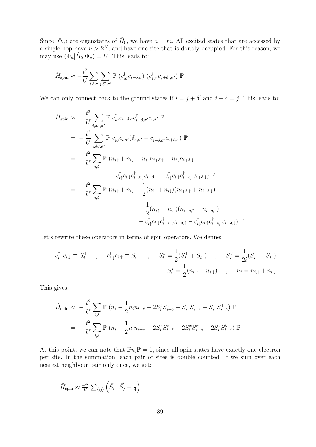Since  $|\Phi_n\rangle$  are eigenstates of  $\hat{H}_0$ , we have  $n = m$ . All excited states that are accessed by a single hop have  $n > 2^N$ , and have one site that is doubly occupied. For this reason, we may use  $\langle \Phi_n | \hat{H}_0 | \Phi_n \rangle = U$ . This leads to:

$$
\hat{H}_{\text{spin}} \approx -\frac{t^2}{U} \sum_{i,\delta,\sigma} \sum_{j,\delta',\sigma'} \mathbb{P} \left( c_{i\sigma}^{\dagger} c_{i+\delta,\sigma} \right) \left( c_{j\sigma'}^{\dagger} c_{j+\delta',\sigma'} \right) \mathbb{P}
$$

We can only connect back to the ground states if  $i = j + \delta'$  and  $i + \delta = j$ . This leads to:

$$
\hat{H}_{\text{spin}} \approx -\frac{t^2}{U} \sum_{i,\delta\sigma,\sigma'} \mathbb{P} c_{i\sigma}^{\dagger} c_{i+\delta,\sigma'} c_{i+\delta,\sigma'}^{\dagger} c_{i,\sigma'} \mathbb{P}
$$
\n
$$
= -\frac{t^2}{U} \sum_{i,\delta\sigma,\sigma'} \mathbb{P} c_{i\sigma}^{\dagger} c_{i,\sigma'} (\delta_{\sigma,\sigma'} - c_{i+\delta,\sigma'}^{\dagger} c_{i+\delta,\sigma}) \mathbb{P}
$$
\n
$$
= -\frac{t^2}{U} \sum_{i,\delta} \mathbb{P} (n_{i\uparrow} + n_{i\downarrow} - n_{i\uparrow} n_{i+\delta,\uparrow} - n_{i\downarrow} n_{i+\delta,\downarrow}
$$
\n
$$
-c_{i\uparrow}^{\dagger} c_{i,\downarrow} c_{i+\delta,\downarrow}^{\dagger} c_{i+\delta,\uparrow} - c_{i\downarrow}^{\dagger} c_{i,\uparrow} c_{i+\delta,\uparrow}^{\dagger} c_{i+\delta,\downarrow}) \mathbb{P}
$$
\n
$$
= -\frac{t^2}{U} \sum_{i,\delta} \mathbb{P} (n_{i\uparrow} + n_{i\downarrow} - \frac{1}{2} (n_{i\uparrow} + n_{i\downarrow}) (n_{i+\delta,\uparrow} + n_{i+\delta,\downarrow})
$$
\n
$$
- \frac{1}{2} (n_{i\uparrow} - n_{i\downarrow}) (n_{i+\delta,\uparrow} - n_{i+\delta,\downarrow})
$$
\n
$$
-c_{i\uparrow}^{\dagger} c_{i,\downarrow} c_{i+\delta,\uparrow}^{\dagger} - c_{i\downarrow}^{\dagger} c_{i+\delta,\uparrow} c_{i+\delta,\uparrow}^{\dagger} c_{i+\delta,\downarrow}) \mathbb{P}
$$

Let's rewrite these operators in terms of spin operators. We define:

$$
c_{i,\uparrow}^{\dagger} c_{i,\downarrow} \equiv S_i^+ \quad , \quad c_{i,\downarrow}^{\dagger} c_{i,\uparrow} \equiv S_i^- \quad , \quad S_i^x = \frac{1}{2} (S_i^+ + S_i^-) \quad , \quad S_i^y = \frac{1}{2i} (S_i^+ - S_i^-)
$$

$$
S_i^z = \frac{1}{2} (n_{i,\uparrow} - n_{i,\downarrow}) \quad , \quad n_i = n_{i,\uparrow} + n_{i,\downarrow}
$$

This gives:

$$
\hat{H}_{\text{spin}} \approx -\frac{t^2}{U} \sum_{i,\delta} \mathbb{P} \left( n_i - \frac{1}{2} n_i n_{i+\delta} - 2S_i^z S_{i+\delta}^z - S_i^+ S_{i+\delta}^- - S_i^- S_{i+\delta}^+ \right) \mathbb{P}
$$
\n
$$
= -\frac{t^2}{U} \sum_{i,\delta} \mathbb{P} \left( n_i - \frac{1}{2} n_i n_{i+\delta} - 2S_i^z S_{i+\delta}^z - 2S_i^x S_{i+\delta}^x - 2S_i^y S_{i+\delta}^y \right) \mathbb{P}
$$

At this point, we can note that  $\mathbb{P}n_i\mathbb{P} = 1$ , since all spin states have exactly one electron per site. In the summation, each pair of sites is double counted. If we sum over each nearest neighbour pair only once, we get:

$$
\hat{H}_{\text{spin}} \approx \frac{4t^2}{U} \sum_{\langle ij \rangle} \left( \vec{S}_i \cdot \vec{S}_j - \frac{1}{4} \right)
$$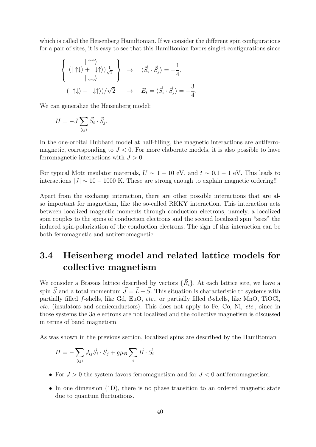which is called the Heisenberg Hamiltonian. If we consider the different spin configurations for a pair of sites, it is easy to see that this Hamiltonian favors singlet configurations since

$$
\left\{ \begin{array}{ccc} | \uparrow \uparrow \rangle & & \\ ( | \uparrow \downarrow \rangle + | \downarrow \uparrow \rangle ) \frac{1}{\sqrt{2}} \\ | \downarrow \downarrow \rangle & & \\ ( | \uparrow \downarrow \rangle - | \downarrow \uparrow \rangle ) / \sqrt{2} & \rightarrow & E_{\rm s} = \langle \vec{S}_i \cdot \vec{S}_j \rangle = -\frac{3}{4}. \end{array} \right.
$$

We can generalize the Heisenberg model:

$$
H = -J \sum_{\langle ij \rangle} \vec{S}_i \cdot \vec{S}_j.
$$

In the one-orbital Hubbard model at half-filling, the magnetic interactions are antiferromagnetic, corresponding to *J <* 0. For more elaborate models, it is also possible to have ferromagnetic interactions with *J >* 0.

For typical Mott insulator materials,  $U \sim 1 - 10$  eV, and  $t \sim 0.1 - 1$  eV. This leads to interactions  $|J| \sim 10 - 1000$  K. These are strong enough to explain magnetic ordering!!

Apart from the exchange interaction, there are other possible interactions that are also important for magnetism, like the so-called RKKY interaction. This interaction acts between localized magnetic moments through conduction electrons, namely, a localized spin couples to the spins of conduction electrons and the second localized spin "sees" the induced spin-polarization of the conduction electrons. The sign of this interaction can be both ferromagnetic and antiferromagnetic.

# 3.4 Heisenberg model and related lattice models for collective magnetism

We consider a Bravais lattice described by vectors  $\{\vec{R}_i\}$ . At each lattice site, we have a spin  $\vec{S}$  and a total momentum  $\vec{J} = \vec{L} + \vec{S}$ . This situation is characteristic to systems with partially filled *f*-shells, like Gd, EuO, *etc.*, or partially filled *d*-shells, like MnO, TiOCl, *etc.* (insulators and semiconductors). This does not apply to Fe, Co, Ni, *etc.*, since in those systems the 3*d* electrons are not localized and the collective magnetism is discussed in terms of band magnetism.

As was shown in the previous section, localized spins are described by the Hamiltonian

$$
H = -\sum_{\langle ij \rangle} J_{ij} \vec{S}_i \cdot \vec{S}_j + g \mu_B \sum_i \vec{B} \cdot \vec{S}_i.
$$

- *•* For *J >* 0 the system favors ferromagnetism and for *J <* 0 antiferromagnetism.
- In one dimension (1D), there is no phase transition to an ordered magnetic state due to quantum fluctuations.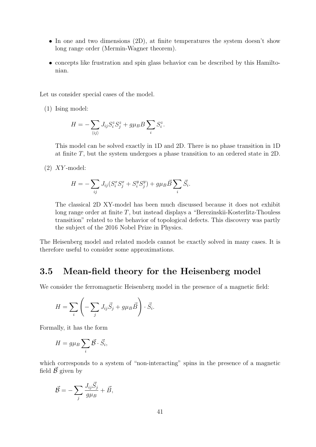- In one and two dimensions (2D), at finite temperatures the system doesn't show long range order (Mermin-Wagner theorem).
- concepts like frustration and spin glass behavior can be described by this Hamiltonian.

Let us consider special cases of the model.

(1) Ising model:

$$
H = -\sum_{\langle ij \rangle} J_{ij} S_i^z S_j^z + g \mu_B B \sum_i S_i^z.
$$

This model can be solved exactly in 1D and 2D. There is no phase transition in 1D at finite *T*, but the system undergoes a phase transition to an ordered state in 2D.

(2) *XY* -model:

$$
H = -\sum_{ij} J_{ij} (S_i^x S_j^x + S_i^y S_j^y) + g \mu_B \vec{B} \sum_i \vec{S}_i.
$$

The classical 2D XY-model has been much discussed because it does not exhibit long range order at finite *T*, but instead displays a "Berezinskii-Kosterlitz-Thouless transition" related to the behavior of topological defects. This discovery was partly the subject of the 2016 Nobel Prize in Physics.

The Heisenberg model and related models cannot be exactly solved in many cases. It is therefore useful to consider some approximations.

## 3.5 Mean-field theory for the Heisenberg model

We consider the ferromagnetic Heisenberg model in the presence of a magnetic field:

$$
H = \sum_{i} \left( -\sum_{j} J_{ij} \vec{S}_j + g \mu_B \vec{B} \right) \cdot \vec{S}_i.
$$

Formally, it has the form

$$
H = g\mu_B \sum_i \vec{B} \cdot \vec{S}_i,
$$

which corresponds to a system of "non-interacting" spins in the presence of a magnetic field  $\vec{\beta}$  given by

$$
\vec{\mathcal{B}} = -\sum_{j} \frac{J_{ij} \vec{S}_j}{g \mu_B} + \vec{B},
$$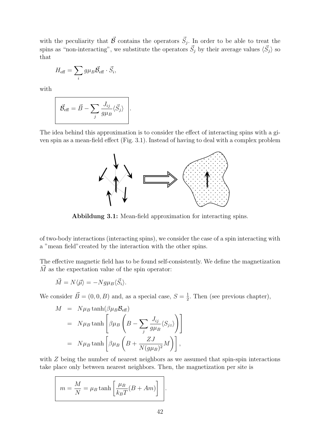with the peculiarity that  $\vec{\beta}$  contains the operators  $\vec{S}_j$ . In order to be able to treat the spins as "non-interacting", we substitute the operators  $\vec{S}_j$  by their average values  $\langle \vec{S}_j \rangle$  so that

$$
H_{\text{eff}} = \sum_{i} g \mu_B \vec{\mathcal{B}}_{\text{eff}} \cdot \vec{S}_i,
$$

with

$$
\vec{\mathcal{B}}_{\text{eff}} = \vec{B} - \sum_{j} \frac{J_{ij}}{g\mu_B} \langle \vec{S}_j \rangle.
$$

The idea behind this approximation is to consider the effect of interacting spins with a given spin as a mean-field effect (Fig. 3.1). Instead of having to deal with a complex problem



Abbildung 3.1: Mean-field approximation for interacting spins.

of two-body interactions (interacting spins), we consider the case of a spin interacting with a "mean field"created by the interaction with the other spins.

The effective magnetic field has to be found self-consistently. We define the magnetization  $\dot{M}$  as the expectation value of the spin operator:

$$
\vec{M} = N \langle \vec{\mu} \rangle = -N g \mu_B \langle \vec{S}_i \rangle.
$$

We consider  $\vec{B} = (0, 0, B)$  and, as a special case,  $S = \frac{1}{2}$ . Then (see previous chapter),

$$
M = N\mu_B \tanh(\beta \mu_B \mathcal{B}_{\text{eff}})
$$
  
=  $N\mu_B \tanh\left[\beta \mu_B \left(B - \sum_j \frac{J_{ij}}{g \mu_B} \langle S_{jz} \rangle\right)\right]$   
=  $N\mu_B \tanh\left[\beta \mu_B \left(B + \frac{ZJ}{N(g\mu_B)^2}M\right)\right],$ 

with *Z* being the number of nearest neighbors as we assumed that spin-spin interactions take place only between nearest neighbors. Then, the magnetization per site is

$$
m = \frac{M}{N} = \mu_B \tanh\left[\frac{\mu_B}{k_B T}(B + Am)\right].
$$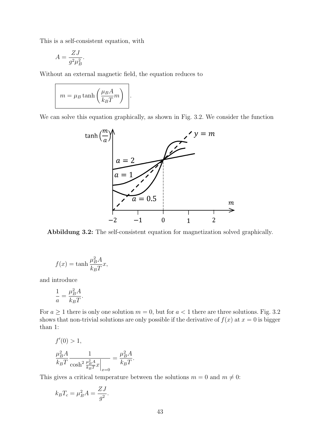This is a self-consistent equation, with

$$
A = \frac{ZJ}{g^2 \mu_B^2}.
$$

Without an external magnetic field, the equation reduces to

*.*

$$
m = \mu_B \tanh\left(\frac{\mu_B A}{k_B T} m\right)
$$

We can solve this equation graphically, as shown in Fig. 3.2. We consider the function



Abbildung 3.2: The self-consistent equation for magnetization solved graphically.

$$
f(x) = \tanh \frac{\mu_B^2 A}{k_B T} x,
$$

and introduce

$$
\frac{1}{a} = \frac{\mu_B^2 A}{k_B T}.
$$

For  $a \ge 1$  there is only one solution  $m = 0$ , but for  $a < 1$  there are three solutions. Fig. 3.2 shows that non-trivial solutions are only possible if the derivative of  $f(x)$  at  $x = 0$  is bigger than 1:

$$
f'(0) > 1,
$$
  
\n
$$
\frac{\mu_B^2 A}{k_B T} \frac{1}{\cosh^2 \frac{\mu_B^2 A}{k_B T} x}\n= \frac{\mu_B^2 A}{k_B T}.
$$

This gives a critical temperature between the solutions  $m = 0$  and  $m \neq 0$ :

$$
k_B T_c = \mu_B^2 A = \frac{ZJ}{g^2}.
$$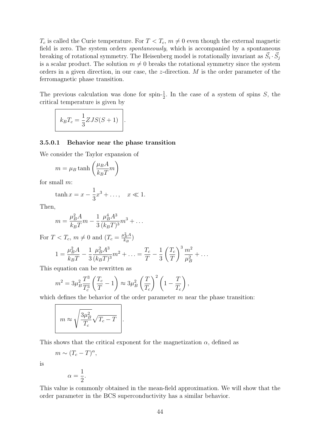$T_c$  is called the Curie temperature. For  $T < T_c$ ,  $m \neq 0$  even though the external magnetic field is zero. The system orders *spontaneously*, which is accompanied by a spontaneous breaking of rotational symmetry. The Heisenberg model is rotationally invariant as  $\vec{S}_i \cdot \vec{S}_j$ is a scalar product. The solution  $m \neq 0$  breaks the rotational symmetry since the system orders in a given direction, in our case, the *z*-direction. *M* is the order parameter of the ferromagnetic phase transition.

The previous calculation was done for spin- $\frac{1}{2}$ . In the case of a system of spins *S*, the critical temperature is given by

$$
k_B T_c = \frac{1}{3} ZJS(S+1) \quad .
$$

#### 3.5.0.1 Behavior near the phase transition

We consider the Taylor expansion of

$$
m = \mu_B \tanh\left(\frac{\mu_B A}{k_B T} m\right)
$$

for small *m*:

$$
\tanh x = x - \frac{1}{3}x^3 + \dots, \quad x \ll 1.
$$

Then,

$$
m = \frac{\mu_B^2 A}{k_B T} m - \frac{1}{3} \frac{\mu_B^4 A^3}{(k_B T)^3} m^3 + \dots
$$

For  $T < T_c$ ,  $m \neq 0$  and  $(T_c = \frac{\mu_B^2 A}{k_B})$ 

$$
1 = \frac{\mu_B^2 A}{k_B T} - \frac{1}{3} \frac{\mu_B^2 A^3}{(k_B T)^3} m^2 + \dots = \frac{T_c}{T} - \frac{1}{3} \left(\frac{T_c}{T}\right)^3 \frac{m^2}{\mu_B^2} + \dots
$$

This equation can be rewritten as

$$
m^2 = 3\mu_B^2 \frac{T^3}{T_c^3} \left(\frac{T_c}{T} - 1\right) \approx 3\mu_B^2 \left(\frac{T}{T_c}\right)^2 \left(1 - \frac{T}{T_c}\right),
$$

which defines the behavior of the order parameter *m* near the phase transition:

$$
m \approx \sqrt{\frac{3\mu_B^2}{T_c}}\sqrt{T_c - T}
$$

This shows that the critical exponent for the magnetization  $\alpha$ , defined as

 $m \sim (T_c - T)^{\alpha},$ 

is

$$
\alpha = \frac{1}{2}
$$

*.*

This value is commonly obtained in the mean-field approximation. We will show that the order parameter in the BCS superconductivity has a similar behavior.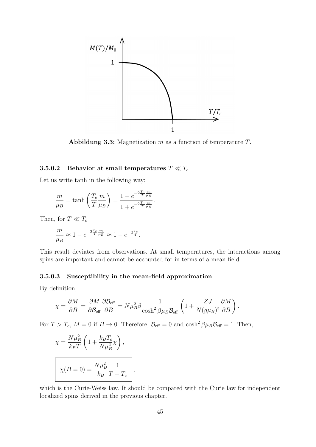

Abbildung 3.3: Magnetization *m* as a function of temperature *T*.

#### 3.5.0.2 Behavior at small temperatures  $T \ll T_c$

Let us write tanh in the following way:

$$
\frac{m}{\mu_B} = \tanh\left(\frac{T_c}{T}\frac{m}{\mu_B}\right) = \frac{1 - e^{-2\frac{T_c}{T}\frac{m}{\mu_B}}}{1 + e^{-2\frac{T_c}{T}\frac{m}{\mu_B}}}.
$$

Then, for  $T \ll T_c$ 

$$
\frac{m}{\mu_B} \approx 1 - e^{-2\frac{T_c}{T} \frac{m}{\mu_B}} \approx 1 - e^{-2\frac{T_c}{T}}.
$$

This result deviates from observations. At small temperatures, the interactions among spins are important and cannot be accounted for in terms of a mean field.

#### 3.5.0.3 Susceptibility in the mean-field approximation

By definition,

$$
\chi = \frac{\partial M}{\partial B} = \frac{\partial M}{\partial \mathcal{B}_{\text{eff}}} \frac{\partial \mathcal{B}_{\text{eff}}}{\partial B} = N \mu_B^2 \beta \frac{1}{\cosh^2 \beta \mu_B \mathcal{B}_{\text{eff}}} \left( 1 + \frac{ZJ}{N(g\mu_B)^2} \frac{\partial M}{\partial B} \right).
$$

For  $T > T_c$ ,  $M = 0$  if  $B \to 0$ . Therefore,  $\mathcal{B}_{\text{eff}} = 0$  and  $\cosh^2 \beta \mu_B \mathcal{B}_{\text{eff}} = 1$ . Then,

*,*

$$
\chi = \frac{N\mu_B^2}{k_B T} \left( 1 + \frac{k_B T_c}{N \mu_B^2} \chi \right),
$$
  

$$
\chi(B = 0) = \frac{N\mu_B^2}{k_B} \frac{1}{T - T_c}
$$

which is the Curie-Weiss law. It should be compared with the Curie law for independent localized spins derived in the previous chapter.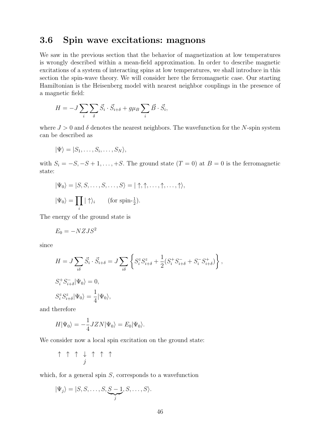## 3.6 Spin wave excitations: magnons

We saw in the previous section that the behavior of magnetization at low temperatures is wrongly described within a mean-field approximation. In order to describe magnetic excitations of a system of interacting spins at low temperatures, we shall introduce in this section the spin-wave theory. We will consider here the ferromagnetic case. Our starting Hamiltonian is the Heisenberg model with nearest neighbor couplings in the presence of a magnetic field:

$$
H = -J\sum_{i}\sum_{\delta}\vec{S}_{i}\cdot\vec{S}_{i+\delta} + g\mu_{B}\sum_{i}\vec{B}\cdot\vec{S}_{i},
$$

where  $J > 0$  and  $\delta$  denotes the nearest neighbors. The wavefunction for the *N*-spin system can be described as

$$
|\Psi\rangle = |S_1,\ldots,S_i,\ldots,S_N\rangle,
$$

with  $S_i = -S, -S + 1, \ldots, +S$ . The ground state  $(T = 0)$  at  $B = 0$  is the ferromagnetic state:

$$
|\Psi_0\rangle = |S, S, \dots, S, \dots, S\rangle = |\uparrow, \uparrow, \dots, \uparrow, \dots, \uparrow\rangle,
$$
  

$$
|\Psi_0\rangle = \prod_i |\uparrow\rangle_i \qquad \text{(for spin-1)}.
$$

The energy of the ground state is

$$
E_0 = -NZJS^2
$$

since

$$
H = J \sum_{i\delta} \vec{S}_i \cdot \vec{S}_{i+\delta} = J \sum_{i\delta} \left\{ S_i^z S_{i+\delta}^z + \frac{1}{2} (S_i^+ S_{i+\delta}^- + S_i^- S_{i+\delta}^+) \right\},
$$
  

$$
S_i^+ S_{i+\delta}^- |\Psi_0\rangle = 0,
$$
  

$$
S_i^z S_{i+\delta}^z |\Psi_0\rangle = \frac{1}{4} |\Psi_0\rangle,
$$

and therefore

$$
H|\Psi_0\rangle = -\frac{1}{4}JZN|\Psi_0\rangle = E_0|\Psi_0\rangle.
$$

We consider now a local spin excitation on the ground state:

$$
\uparrow\ \uparrow\ \uparrow\ \downarrow\ \uparrow\ \uparrow\ \uparrow
$$

which, for a general spin *S*, corresponds to a wavefunction

$$
|\Psi_j\rangle = |S, S, \dots, S, \underbrace{S-1}_{j}, S, \dots, S\rangle.
$$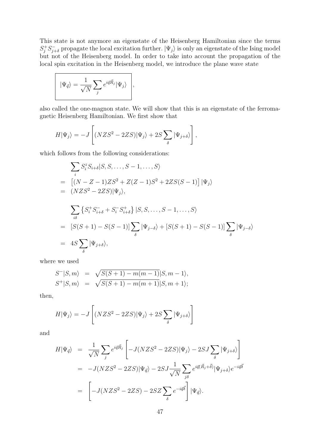This state is not anymore an eigenstate of the Heisenberg Hamiltonian since the terms  $S_j^+ S_{j+\delta}^-$  propagate the local excitation further.  $|\Psi_j\rangle$  is only an eigenstate of the Ising model but not of the Heisenberg model. In order to take into account the propagation of the local spin excitation in the Heisenberg model, we introduce the plane wave state

$$
|\Psi_{\vec{q}}\rangle = \frac{1}{\sqrt{N}} \sum_{j} e^{i\vec{q}\vec{R}_j} |\Psi_j\rangle \Bigg|,
$$

also called the one-magnon state. We will show that this is an eigenstate of the ferromagnetic Heisenberg Hamiltonian. We first show that

$$
H|\Psi_j\rangle=-J\left[(NZS^2-2ZS)|\Psi_j\rangle+2S\sum_{\delta}|\Psi_{j+\delta}\rangle\right],
$$

which follows from the following considerations:

$$
\sum_{i} S_{i}^{z} S_{i+\delta} | S, S, \dots, S-1, \dots, S \rangle
$$
  
= 
$$
[(N - Z - 1)ZS^{2} + Z(Z - 1)S^{2} + 2ZS(S - 1)] |\Psi_{j}\rangle
$$
  
= 
$$
(NZS^{2} - 2ZS)|\Psi_{j}\rangle,
$$
  

$$
\sum_{i\delta} \left\{ S_{i}^{+} S_{i+\delta}^{-} + S_{i}^{-} S_{i+\delta}^{+} \right\} | S, S, \dots, S - 1, \dots, S \rangle
$$
  
= 
$$
[S(S + 1) - S(S - 1)] \sum_{\delta} |\Psi_{j-\delta}\rangle + [S(S + 1) - S(S - 1)] \sum_{\delta} |\Psi_{j-\delta}\rangle
$$
  
= 
$$
4S \sum_{\delta} |\Psi_{j+\delta}\rangle,
$$

where we used

$$
S^{-}|S,m\rangle = \sqrt{S(S+1) - m(m-1)}|S,m-1\rangle, S^{+}|S,m\rangle = \sqrt{S(S+1) - m(m+1)}|S,m+1\rangle;
$$

then,

$$
H|\Psi_j\rangle = -J\left[ (NZS^2 - 2ZS)|\Psi_j\rangle + 2S\sum_{\delta} |\Psi_{j+\delta}\rangle \right]
$$

and

$$
H|\Psi_{\vec{q}}\rangle = \frac{1}{\sqrt{N}} \sum_{j} e^{i\vec{q}\vec{R}_{j}} \left[ -J(NZS^{2} - 2ZS)|\Psi_{j}\rangle - 2SJ \sum_{\delta} |\Psi_{j+\delta}\rangle \right]
$$
  
= 
$$
-J(NZS^{2} - 2ZS)|\Psi_{\vec{q}}\rangle - 2SJ \frac{1}{\sqrt{N}} \sum_{j\delta} e^{i\vec{q}(\vec{R}_{j} + \vec{\delta})} |\Psi_{j+\delta}\rangle e^{-i\vec{q}\vec{\delta}}
$$
  
= 
$$
\left[ -J(NZS^{2} - 2ZS) - 2SZ \sum_{\delta} e^{-i\vec{q}\vec{\delta}} \right] |\Psi_{\vec{q}}\rangle.
$$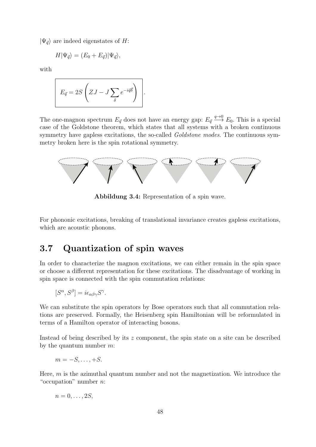$|\Psi_{\vec{q}}\rangle$  are indeed eigenstates of *H*:

$$
H|\Psi_{\vec{q}}\rangle = (E_0 + E_{\vec{q}})|\Psi_{\vec{q}}\rangle,
$$

with

$$
E_{\vec{q}} = 2S\left(ZJ - J\sum_{\delta} e^{-i\vec{q}\vec{\delta}}\right).
$$

The one-magnon spectrum  $E_{\vec{q}}$  does not have an energy gap:  $E_{\vec{q}} \stackrel{q \to 0}{\longrightarrow} E_0$ . This is a special case of the Goldstone theorem, which states that all systems with a broken continuous symmetry have gapless excitations, the so-called *Goldstone modes*. The continuous symmetry broken here is the spin rotational symmetry.



Abbildung 3.4: Representation of a spin wave.

For phononic excitations, breaking of translational invariance creates gapless excitations, which are acoustic phonons.

## 3.7 Quantization of spin waves

In order to characterize the magnon excitations, we can either remain in the spin space or choose a different representation for these excitations. The disadvantage of working in spin space is connected with the spin commutation relations:

$$
[S^{\alpha}, S^{\beta}] = i\epsilon_{\alpha\beta\gamma} S^{\gamma}.
$$

We can substitute the spin operators by Bose operators such that all commutation relations are preserved. Formally, the Heisenberg spin Hamiltonian will be reformulated in terms of a Hamilton operator of interacting bosons.

Instead of being described by its *z* component, the spin state on a site can be described by the quantum number *m*:

$$
m=-S,\ldots,+S.
$$

Here, *m* is the azimuthal quantum number and not the magnetization. We introduce the "occupation" number *n*:

$$
n=0,\ldots,2S,
$$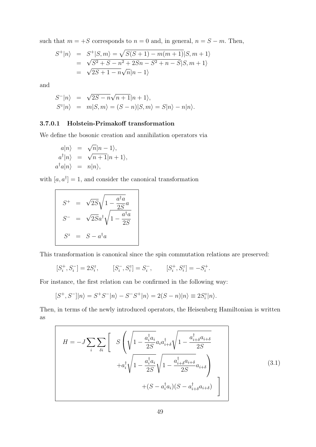such that  $m = +S$  corresponds to  $n = 0$  and, in general,  $n = S - m$ . Then,

$$
S^{+}|n\rangle = S^{+}|S,m\rangle = \sqrt{S(S+1) - m(m+1)}|S,m+1\rangle
$$
  
=  $\sqrt{S^{2} + S - n^{2} + 2Sn - S^{2} + n - S}|S,m+1\rangle$   
=  $\sqrt{2S + 1 - n}\sqrt{n}|n-1\rangle$ 

and

$$
S^{-}|n\rangle = \sqrt{2S - n\sqrt{n+1}}|n+1\rangle,
$$
  
\n
$$
S^{z}|n\rangle = m|S,m\rangle = (S - n)|S,m\rangle = S|n\rangle - n|n\rangle.
$$

#### 3.7.0.1 Holstein-Primakoff transformation

We define the bosonic creation and annihilation operators via

$$
a|n\rangle = \sqrt{n}|n-1\rangle,
$$
  
\n
$$
a^{\dagger}|n\rangle = \sqrt{n+1}|n+1\rangle,
$$
  
\n
$$
a^{\dagger}a|n\rangle = n|n\rangle,
$$

with  $[a, a^{\dagger}] = 1$ , and consider the canonical transformation

$$
S^{+} = \sqrt{2S} \sqrt{1 - \frac{a^{\dagger}a}{2S}} a
$$

$$
S^{-} = \sqrt{2S} a^{\dagger} \sqrt{1 - \frac{a^{\dagger}a}{2S}}
$$

$$
S^{z} = S - a^{\dagger}a
$$

This transformation is canonical since the spin commutation relations are preserved:

$$
[S_i^+, S_i^-] = 2S_i^z, \qquad [S_i^-, S_i^z] = S_i^-, \qquad [S_i^+, S_i^z] = -S_i^+.
$$

For instance, the first relation can be confirmed in the following way:

$$
[S^+, S^-]|n\rangle = S^+S^-|n\rangle - S^-S^+|n\rangle = 2(S-n)|n\rangle \equiv 2S_i^z|n\rangle.
$$

Then, in terms of the newly introduced operators, the Heisenberg Hamiltonian is written as

$$
H = -J \sum_{i} \sum_{\delta i} \left[ S \left( \sqrt{1 - \frac{a_i^{\dagger} a_i}{2S}} a_i a_{i+\delta}^{\dagger} \sqrt{1 - \frac{a_{i+\delta}^{\dagger} a_{i+\delta}}{2S}} + a_i^{\dagger} \sqrt{1 - \frac{a_i^{\dagger} a_i}{2S}} \sqrt{1 - \frac{a_{i+\delta}^{\dagger} a_{i+\delta}}{2S}} a_{i+\delta} \right) + (S - a_i^{\dagger} a_i)(S - a_{i+\delta}^{\dagger} a_{i+\delta}) \right]
$$
\n(3.1)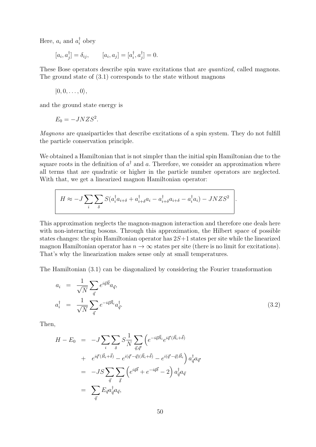Here,  $a_i$  and  $a_i^{\dagger}$  obey

$$
[a_i, a_j^{\dagger}] = \delta_{ij},
$$
  $[a_i, a_j] = [a_i^{\dagger}, a_j^{\dagger}] = 0.$ 

These Bose operators describe spin wave excitations that are *quantized*, called magnons. The ground state of (3.1) corresponds to the state without magnons

$$
|0,0,\ldots,0\rangle,
$$

and the ground state energy is

$$
E_0 = -JNZS^2.
$$

*Magnons* are quasiparticles that describe excitations of a spin system. They do not fulfill the particle conservation principle.

We obtained a Hamiltonian that is not simpler than the initial spin Hamiltonian due to the square roots in the definition of  $a^{\dagger}$  and a. Therefore, we consider an approximation where all terms that are quadratic or higher in the particle number operators are neglected. With that, we get a linearized magnon Hamiltonian operator:

$$
H \approx -J\sum_{i}\sum_{\delta} S(a_i^{\dagger}a_{i+\delta} + a_{i+\delta}^{\dagger}a_i - a_{i+\delta}^{\dagger}a_{i+\delta} - a_i^{\dagger}a_i) - JNZS^2
$$

This approximation neglects the magnon-magnon interaction and therefore one deals here with non-interacting bosons. Through this approximation, the Hilbert space of possible states changes: the spin Hamiltonian operator has 2*S*+1 states per site while the linearized magnon Hamiltonian operator has  $n \to \infty$  states per site (there is no limit for excitations). That's why the linearization makes sense only at small temperatures.

The Hamiltonian (3.1) can be diagonalized by considering the Fourier transformation

$$
a_i = \frac{1}{\sqrt{N}} \sum_{\vec{q}} e^{i\vec{q}\vec{R}} a_{\vec{q}},
$$
  

$$
a_i^{\dagger} = \frac{1}{\sqrt{N}} \sum_{\vec{q}} e^{-i\vec{q}\vec{R}_i} a_{\vec{q}}^{\dagger}.
$$
 (3.2)

Then,

$$
H - E_0 = -J \sum_{i} \sum_{\delta} S \frac{1}{N} \sum_{\vec{q}, \vec{q}'} \left( e^{-i\vec{q}\vec{R}_i} e^{i\vec{q}'(\vec{R}_i + \vec{\delta})} \right. \\
\left. + e^{i\vec{q}'(\vec{R}_i + \vec{\delta})} - e^{i(\vec{q}' - \vec{q})(\vec{R}_i + \vec{\delta})} - e^{i(\vec{q}' - \vec{q})\vec{R}_i} \right) a_{\vec{q}}^{\dagger} a_{\vec{q}} \\
= -JS \sum_{\vec{q}} \sum_{\vec{\delta}} \left( e^{i\vec{q}\vec{\delta}} + e^{-i\vec{q}\vec{\delta}} - 2 \right) a_{\vec{q}}^{\dagger} a_{\vec{q}} \\
= \sum_{\vec{q}} E_{\vec{q}} a_{\vec{q}}^{\dagger} a_{\vec{q}},
$$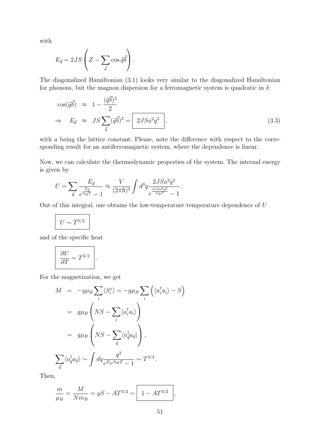with

$$
E_{\vec{q}} = 2JS \left( Z - \sum_{\vec{\delta}} \cos \vec{q} \vec{\delta} \right).
$$

The diagonalized Hamiltonian (3.1) looks very similar to the diagonalized Hamiltonian for phonons, but the magnon dispersion for a ferromagnetic system is quadratic in  $\delta$ :

$$
\cos(\vec{q}\vec{\delta}) \approx 1 - \frac{(\vec{q}\vec{\delta})^2}{2}
$$
  
\n
$$
\Rightarrow E_{\vec{q}} \approx JS \sum_{\vec{\delta}} (\vec{q}\vec{\delta})^2 = 2JSa^2q^2,
$$
\n(3.3)

with *a* being the lattice constant. Please, note the difference with respect to the corresponding result for an antiferromagnetic system, where the dependence is linear.

Now, we can calculate the thermodynamic properties of the system. The internal energy is given by

$$
U = \sum_{\vec{q}} \frac{E_{\vec{q}}}{e^{\frac{E_{\vec{q}}}{k_B T}} - 1} \approx \frac{V}{(2\pi\hbar)^3} \int d^3q \frac{2JSa^2q^2}{e^{\frac{2JSa^2q^2}{k_B T}} - 1}.
$$

Out of this integral, one obtains the low-temperature temperature dependence of *U*

$$
U \sim T^{5/2}
$$

and of the specific heat

$$
\frac{\partial U}{\partial T} \sim T^{3/2} \quad .
$$

For the magnetization, we get

$$
M = -g\mu_B \sum_i \langle S_i^z \rangle = -g\mu_B \sum_i \left( \langle a_i^\dagger a_i \rangle - S \right)
$$
  

$$
= g\mu_B \left( NS - \sum_i \langle a_i^\dagger a_i \rangle \right)
$$
  

$$
= g\mu_B \left( NS - \sum_{\vec{q}} \langle a_{\vec{q}}^\dagger a_{\vec{q}} \rangle \right),
$$
  

$$
\sum_{\vec{q}} \langle a_{\vec{q}}^\dagger a_{\vec{q}} \rangle \sim \int dq \frac{q^2}{e^{E_{\vec{q}}/k_B T} - 1} \sim T^{3/2}.
$$

Then,

$$
\frac{m}{\mu_B} = \frac{M}{Nm_B} = gS - AT^{3/2} = \boxed{1 - AT^{3/2}},
$$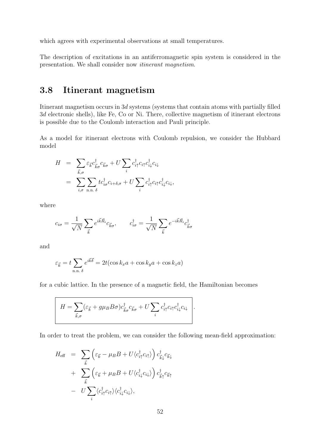which agrees with experimental observations at small temperatures.

The description of excitations in an antiferromagnetic spin system is considered in the presentation. We shall consider now *itinerant magnetism*.

# 3.8 Itinerant magnetism

Itinerant magnetism occurs in 3*d* systems (systems that contain atoms with partially filled 3*d* electronic shells), like Fe, Co or Ni. There, collective magnetism of itinerant electrons is possible due to the Coulomb interaction and Pauli principle.

As a model for itinerant electrons with Coulomb repulsion, we consider the Hubbard model

$$
H = \sum_{\vec{k},\sigma} \varepsilon_{\vec{k}} c_{\vec{k}\sigma}^{\dagger} c_{\vec{k}\sigma} + U \sum_{i} c_{i\uparrow}^{\dagger} c_{i\uparrow} c_{i\downarrow}^{\dagger} c_{i\downarrow}
$$
  

$$
= \sum_{i,\sigma} \sum_{\mathbf{n},\mathbf{n},\delta} t c_{i\sigma}^{\dagger} c_{i+\delta,\sigma} + U \sum_{i} c_{i\uparrow}^{\dagger} c_{i\uparrow} c_{i\downarrow}^{\dagger} c_{i\downarrow},
$$

where

$$
c_{i\sigma} = \frac{1}{\sqrt{N}} \sum_{\vec{k}} e^{i\vec{k}\vec{R}_i} c_{\vec{k}\sigma}, \qquad c_{i\sigma}^{\dagger} = \frac{1}{\sqrt{N}} \sum_{\vec{k}} e^{-i\vec{k}\vec{R}_i} c_{\vec{k}\sigma}^{\dagger}
$$

and

$$
\varepsilon_{\vec{k}} = t \sum_{\text{n.n. }\delta} e^{i\vec{k}\vec{\delta}} = 2t(\cos k_x a + \cos k_y a + \cos k_z a)
$$

for a cubic lattice. In the presence of a magnetic field, the Hamiltonian becomes

$$
H = \sum_{\vec{k},\sigma} (\varepsilon_{\vec{k}} + g\mu_B B\sigma) c_{\vec{k}\sigma}^{\dagger} c_{\vec{k}\sigma} + U \sum_i c_{i\uparrow}^{\dagger} c_{i\uparrow} c_{i\downarrow}^{\dagger} c_{i\downarrow}
$$

In order to treat the problem, we can consider the following mean-field approximation:

$$
H_{\text{eff}} = \sum_{\vec{k}} \left( \varepsilon_{\vec{k}} - \mu_B B + U \langle c_{i\uparrow}^{\dagger} c_{i\uparrow} \rangle \right) c_{\vec{k}\downarrow}^{\dagger} c_{\vec{k}\downarrow} + \sum_{\vec{k}} \left( \varepsilon_{\vec{k}} + \mu_B B + U \langle c_{i\downarrow}^{\dagger} c_{i\downarrow} \rangle \right) c_{\vec{k}\uparrow}^{\dagger} c_{\vec{k}\uparrow} - U \sum_{i} \langle c_{i\uparrow}^{\dagger} c_{i\uparrow} \rangle \langle c_{i\downarrow}^{\dagger} c_{i\downarrow} \rangle,
$$